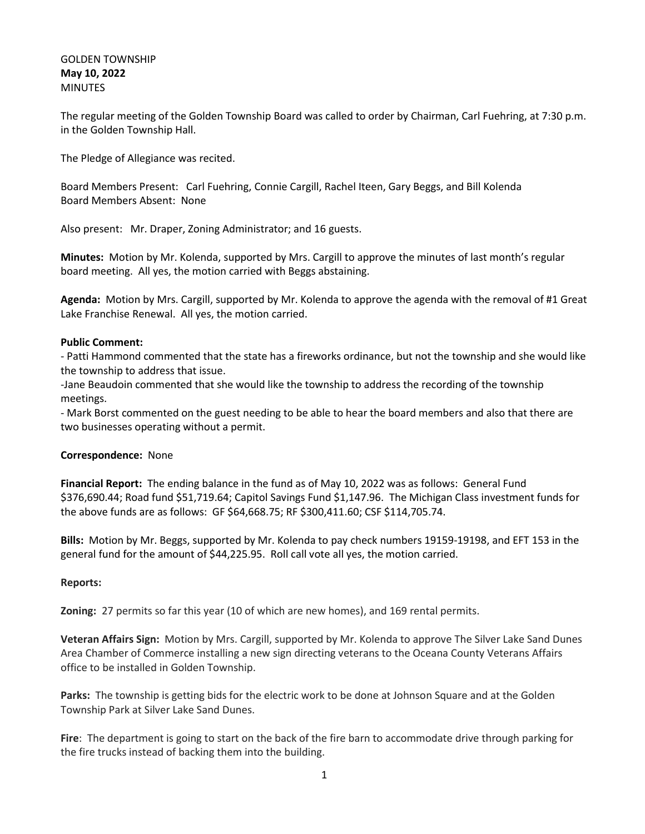## GOLDEN TOWNSHIP **May 10, 2022 MINUTES**

The regular meeting of the Golden Township Board was called to order by Chairman, Carl Fuehring, at 7:30 p.m. in the Golden Township Hall.

The Pledge of Allegiance was recited.

Board Members Present: Carl Fuehring, Connie Cargill, Rachel Iteen, Gary Beggs, and Bill Kolenda Board Members Absent: None

Also present: Mr. Draper, Zoning Administrator; and 16 guests.

**Minutes:** Motion by Mr. Kolenda, supported by Mrs. Cargill to approve the minutes of last month's regular board meeting. All yes, the motion carried with Beggs abstaining.

**Agenda:** Motion by Mrs. Cargill, supported by Mr. Kolenda to approve the agenda with the removal of #1 Great Lake Franchise Renewal. All yes, the motion carried.

## **Public Comment:**

- Patti Hammond commented that the state has a fireworks ordinance, but not the township and she would like the township to address that issue.

-Jane Beaudoin commented that she would like the township to address the recording of the township meetings.

- Mark Borst commented on the guest needing to be able to hear the board members and also that there are two businesses operating without a permit.

## **Correspondence:** None

**Financial Report:** The ending balance in the fund as of May 10, 2022 was as follows: General Fund \$376,690.44; Road fund \$51,719.64; Capitol Savings Fund \$1,147.96. The Michigan Class investment funds for the above funds are as follows: GF \$64,668.75; RF \$300,411.60; CSF \$114,705.74.

**Bills:** Motion by Mr. Beggs, supported by Mr. Kolenda to pay check numbers 19159-19198, and EFT 153 in the general fund for the amount of \$44,225.95. Roll call vote all yes, the motion carried.

## **Reports:**

**Zoning:** 27 permits so far this year (10 of which are new homes), and 169 rental permits.

**Veteran Affairs Sign:** Motion by Mrs. Cargill, supported by Mr. Kolenda to approve The Silver Lake Sand Dunes Area Chamber of Commerce installing a new sign directing veterans to the Oceana County Veterans Affairs office to be installed in Golden Township.

Parks: The township is getting bids for the electric work to be done at Johnson Square and at the Golden Township Park at Silver Lake Sand Dunes.

**Fire**: The department is going to start on the back of the fire barn to accommodate drive through parking for the fire trucks instead of backing them into the building.